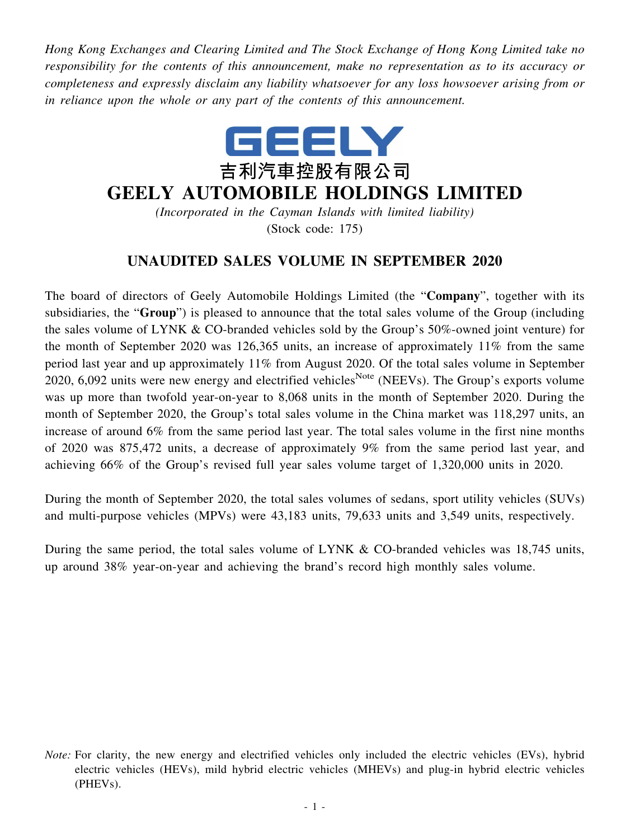*Hong Kong Exchanges and Clearing Limited and The Stock Exchange of Hong Kong Limited take no responsibility for the contents of this announcement, make no representation as to its accuracy or completeness and expressly disclaim any liability whatsoever for any loss howsoever arising from or in reliance upon the whole or any part of the contents of this announcement.*



## **GEELY AUTOMOBILE HOLDINGS LIMITED**

*(Incorporated in the Cayman Islands with limited liability)* (Stock code: 175)

## **UNAUDITED SALES VOLUME IN SEPTEMBER 2020**

The board of directors of Geely Automobile Holdings Limited (the "**Company**", together with its subsidiaries, the "**Group**") is pleased to announce that the total sales volume of the Group (including the sales volume of LYNK & CO-branded vehicles sold by the Group's 50%-owned joint venture) for the month of September 2020 was 126,365 units, an increase of approximately 11% from the same period last year and up approximately 11% from August 2020. Of the total sales volume in September 2020, 6,092 units were new energy and electrified vehicles<sup>Note</sup> (NEEVs). The Group's exports volume was up more than twofold year-on-year to 8,068 units in the month of September 2020. During the month of September 2020, the Group's total sales volume in the China market was 118,297 units, an increase of around 6% from the same period last year. The total sales volume in the first nine months of 2020 was 875,472 units, a decrease of approximately 9% from the same period last year, and achieving 66% of the Group's revised full year sales volume target of 1,320,000 units in 2020.

During the month of September 2020, the total sales volumes of sedans, sport utility vehicles (SUVs) and multi-purpose vehicles (MPVs) were 43,183 units, 79,633 units and 3,549 units, respectively.

During the same period, the total sales volume of LYNK & CO-branded vehicles was 18,745 units, up around 38% year-on-year and achieving the brand's record high monthly sales volume.

*Note:* For clarity, the new energy and electrified vehicles only included the electric vehicles (EVs), hybrid electric vehicles (HEVs), mild hybrid electric vehicles (MHEVs) and plug-in hybrid electric vehicles (PHEVs).